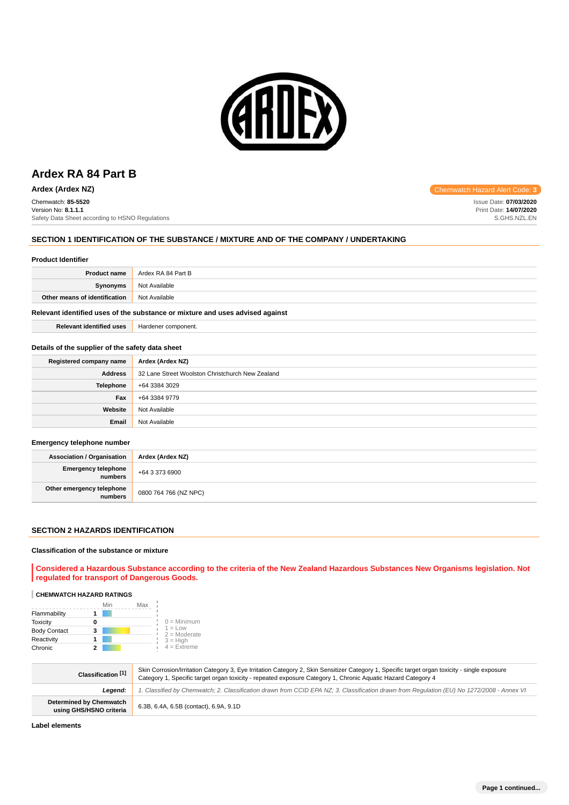

# **Ardex RA 84 Part B**

**Ardex (Ardex NZ) Chemwatch Hazard Alert Code: 3** Chemwatch: **85-5520** Version No: **8.1.1.1** Safety Data Sheet according to HSNO Regulations

## **SECTION 1 IDENTIFICATION OF THE SUBSTANCE / MIXTURE AND OF THE COMPANY / UNDERTAKING**

#### **Product Identifier**

| <b>Product name</b>           | Ardex RA 84 Part B |
|-------------------------------|--------------------|
| <b>Synonyms</b>               | Not Available      |
| Other means of identification | Not Available      |

## **Relevant identified uses of the substance or mixture and uses advised against**

| <b>Relevant identified uses</b> | Hardener component. |
|---------------------------------|---------------------|
|---------------------------------|---------------------|

#### **Details of the supplier of the safety data sheet**

| Registered company name | Ardex (Ardex NZ)                                 |
|-------------------------|--------------------------------------------------|
| <b>Address</b>          | 32 Lane Street Woolston Christchurch New Zealand |
| <b>Telephone</b>        | +64 3384 3029                                    |
| Fax                     | +64 3384 9779                                    |
| Website                 | Not Available                                    |
| Email                   | Not Available                                    |

#### **Emergency telephone number**

| <b>Association / Organisation</b>    | Ardex (Ardex NZ)      |
|--------------------------------------|-----------------------|
| Emergency telephone<br>numbers       | +64 3 373 6900        |
| Other emergency telephone<br>numbers | 0800 764 766 (NZ NPC) |

#### **SECTION 2 HAZARDS IDENTIFICATION**

#### **Classification of the substance or mixture**

**Considered a Hazardous Substance according to the criteria of the New Zealand Hazardous Substances New Organisms legislation. Not regulated for transport of Dangerous Goods.**

# **CHEMWATCH HAZARD RATINGS**

|                     | Min | Max |                             |
|---------------------|-----|-----|-----------------------------|
| Flammability        |     |     |                             |
| <b>Toxicity</b>     | 0   |     | $0 =$ Minimum               |
| <b>Body Contact</b> | 3   |     | $1 = Low$<br>$2 =$ Moderate |
| Reactivity          |     |     | $3 = High$                  |
| Chronic             |     |     | $4 = Ex$ treme              |

| Classification [1]                                        | Skin Corrosion/Irritation Category 3, Eye Irritation Category 2, Skin Sensitizer Category 1, Specific target organ toxicity - single exposure<br>Category 1, Specific target organ toxicity - repeated exposure Category 1, Chronic Aquatic Hazard Category 4 |
|-----------------------------------------------------------|---------------------------------------------------------------------------------------------------------------------------------------------------------------------------------------------------------------------------------------------------------------|
| Leaend:                                                   | 1. Classified by Chemwatch; 2. Classification drawn from CCID EPA NZ; 3. Classification drawn from Requlation (EU) No 1272/2008 - Annex VI                                                                                                                    |
| <b>Determined by Chemwatch</b><br>using GHS/HSNO criteria | 6.3B, 6.4A, 6.5B (contact), 6.9A, 9.1D                                                                                                                                                                                                                        |

**Label elements**

Issue Date: **07/03/2020** Print Date: **14/07/2020** S.GHS.NZL.EN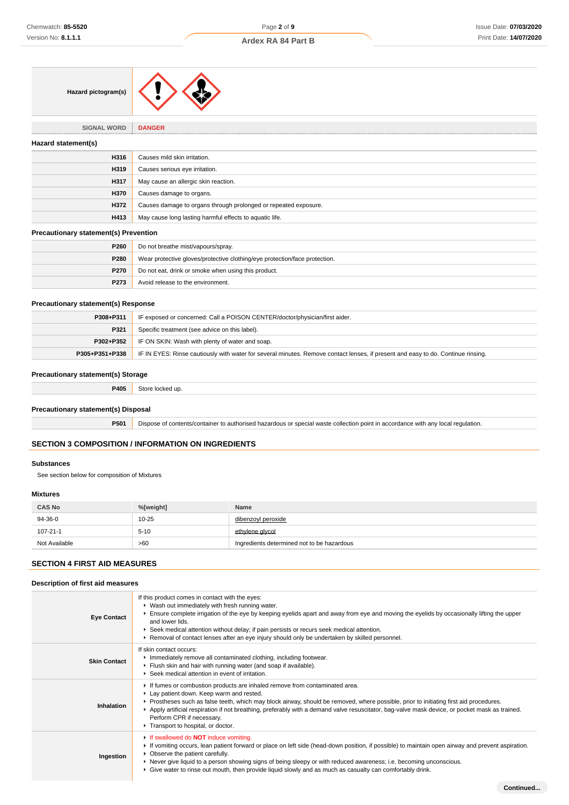# **Ardex RA 84 Part B**

| Hazard pictogram(s) |  |
|---------------------|--|
|---------------------|--|

# **SIGNAL WORD DANGER Hazard statement(s) H316** Causes mild skin irritation. **H319** Causes serious eye irritation. **H317** May cause an allergic skin reaction. **H370** Causes damage to organs. **H372** Causes damage to organs through prolonged or repeated exposure. **H413** May cause long lasting harmful effects to aquatic life.

## **Precautionary statement(s) Prevention**

| P260             | Do not breathe mist/vapours/spray.                                         |
|------------------|----------------------------------------------------------------------------|
| <b>P280</b>      | Wear protective gloves/protective clothing/eye protection/face protection. |
| <b>P270</b>      | Do not eat, drink or smoke when using this product.                        |
| P <sub>273</sub> | Avoid release to the environment.                                          |

## **Precautionary statement(s) Response**

| P308+P311 | IF exposed or concerned: Call a POISON CENTER/doctor/physician/first aider.                                                                              |  |
|-----------|----------------------------------------------------------------------------------------------------------------------------------------------------------|--|
| P321      | Specific treatment (see advice on this label).                                                                                                           |  |
| P302+P352 | IF ON SKIN: Wash with plenty of water and soap.                                                                                                          |  |
|           | <b>P305+P351+P338</b>   IF IN EYES: Rinse cautiously with water for several minutes. Remove contact lenses, if present and easy to do. Continue rinsing. |  |

## **Precautionary statement(s) Storage**

**P405** Store locked up.

#### **Precautionary statement(s) Disposal**

**P501** Dispose of contents/container to authorised hazardous or special waste collection point in accordance with any local regulation.

# **SECTION 3 COMPOSITION / INFORMATION ON INGREDIENTS**

#### **Substances**

See section below for composition of Mixtures

#### **Mixtures**

| <b>CAS No</b>  | %[weight] | <b>Name</b>                                |
|----------------|-----------|--------------------------------------------|
| 94-36-0        | $10 - 25$ | dibenzoyl peroxide                         |
| $107 - 21 - 1$ | $5 - 10$  | ethylene alvcol                            |
| Not Available  | >60       | Ingredients determined not to be hazardous |

# **SECTION 4 FIRST AID MEASURES**

## **Description of first aid measures**

| <b>Eye Contact</b>  | If this product comes in contact with the eyes:<br>▶ Wash out immediately with fresh running water.<br>Ensure complete irrigation of the eye by keeping eyelids apart and away from eye and moving the eyelids by occasionally lifting the upper<br>and lower lids.<br>▶ Seek medical attention without delay; if pain persists or recurs seek medical attention.<br>► Removal of contact lenses after an eye injury should only be undertaken by skilled personnel.                 |
|---------------------|--------------------------------------------------------------------------------------------------------------------------------------------------------------------------------------------------------------------------------------------------------------------------------------------------------------------------------------------------------------------------------------------------------------------------------------------------------------------------------------|
| <b>Skin Contact</b> | If skin contact occurs:<br>Inmediately remove all contaminated clothing, including footwear.<br>Fiush skin and hair with running water (and soap if available).<br>Seek medical attention in event of irritation.                                                                                                                                                                                                                                                                    |
| Inhalation          | If fumes or combustion products are inhaled remove from contaminated area.<br>Lay patient down. Keep warm and rested.<br>▶ Prostheses such as false teeth, which may block airway, should be removed, where possible, prior to initiating first aid procedures.<br>▶ Apply artificial respiration if not breathing, preferably with a demand valve resuscitator, bag-valve mask device, or pocket mask as trained.<br>Perform CPR if necessary.<br>Transport to hospital, or doctor. |
| Ingestion           | If swallowed do <b>NOT</b> induce vomiting.<br>► If vomiting occurs, lean patient forward or place on left side (head-down position, if possible) to maintain open airway and prevent aspiration.<br>• Observe the patient carefully.<br>▶ Never give liquid to a person showing signs of being sleepy or with reduced awareness; i.e. becoming unconscious.<br>► Give water to rinse out mouth, then provide liquid slowly and as much as casualty can comfortably drink.           |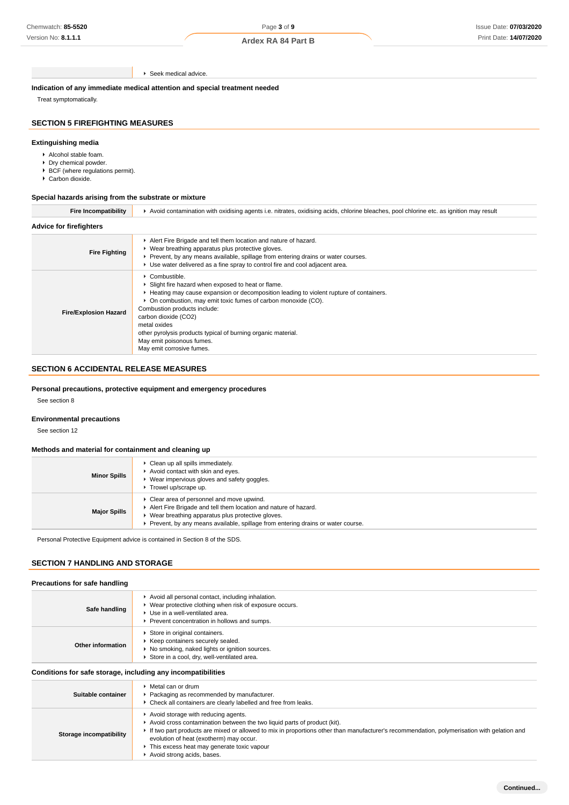Seek medical advice.

**Indication of any immediate medical attention and special treatment needed**

Treat symptomatically.

# **SECTION 5 FIREFIGHTING MEASURES**

# **Extinguishing media**

- Alcohol stable foam.
- **Dry chemical powder.**
- ▶ BCF (where regulations permit).
- Carbon dioxide.

## **Special hazards arising from the substrate or mixture**

| <b>Fire Incompatibility</b>    | Avoid contamination with oxidising agents i.e. nitrates, oxidising acids, chlorine bleaches, pool chlorine etc. as ignition may result                                                                                                                                                                                                                                                                                             |
|--------------------------------|------------------------------------------------------------------------------------------------------------------------------------------------------------------------------------------------------------------------------------------------------------------------------------------------------------------------------------------------------------------------------------------------------------------------------------|
| <b>Advice for firefighters</b> |                                                                                                                                                                                                                                                                                                                                                                                                                                    |
| <b>Fire Fighting</b>           | Alert Fire Brigade and tell them location and nature of hazard.<br>▶ Wear breathing apparatus plus protective gloves.<br>► Prevent, by any means available, spillage from entering drains or water courses.<br>► Use water delivered as a fine spray to control fire and cool adjacent area.                                                                                                                                       |
| <b>Fire/Explosion Hazard</b>   | Combustible.<br>▶ Slight fire hazard when exposed to heat or flame.<br>Heating may cause expansion or decomposition leading to violent rupture of containers.<br>▶ On combustion, may emit toxic fumes of carbon monoxide (CO).<br>Combustion products include:<br>carbon dioxide (CO2)<br>metal oxides<br>other pyrolysis products typical of burning organic material.<br>May emit poisonous fumes.<br>May emit corrosive fumes. |

# **SECTION 6 ACCIDENTAL RELEASE MEASURES**

## **Personal precautions, protective equipment and emergency procedures**

See section 8

#### **Environmental precautions**

See section 12

## **Methods and material for containment and cleaning up**

| <b>Minor Spills</b> | Clean up all spills immediately.<br>Avoid contact with skin and eyes.<br>Wear impervious gloves and safety goggles.<br>Trowel up/scrape up.                                                                                                            |
|---------------------|--------------------------------------------------------------------------------------------------------------------------------------------------------------------------------------------------------------------------------------------------------|
| <b>Major Spills</b> | Clear area of personnel and move upwind.<br>Alert Fire Brigade and tell them location and nature of hazard.<br>▶ Wear breathing apparatus plus protective gloves.<br>► Prevent, by any means available, spillage from entering drains or water course. |

Personal Protective Equipment advice is contained in Section 8 of the SDS.

#### **SECTION 7 HANDLING AND STORAGE**

#### **Precautions for safe handling**

| Safe handling     | Avoid all personal contact, including inhalation.<br>Wear protective clothing when risk of exposure occurs.<br>Use in a well-ventilated area.<br>Prevent concentration in hollows and sumps. |
|-------------------|----------------------------------------------------------------------------------------------------------------------------------------------------------------------------------------------|
| Other information | Store in original containers.<br>Keep containers securely sealed.<br>No smoking, naked lights or ignition sources.<br>Store in a cool, dry, well-ventilated area.                            |

## **Conditions for safe storage, including any incompatibilities**

| Suitable container      | $\blacktriangleright$ Metal can or drum<br>Packaging as recommended by manufacturer.<br>• Check all containers are clearly labelled and free from leaks.                                                                                                                                                                                                                             |
|-------------------------|--------------------------------------------------------------------------------------------------------------------------------------------------------------------------------------------------------------------------------------------------------------------------------------------------------------------------------------------------------------------------------------|
| Storage incompatibility | Avoid storage with reducing agents.<br>Avoid cross contamination between the two liquid parts of product (kit).<br>If two part products are mixed or allowed to mix in proportions other than manufacturer's recommendation, polymerisation with gelation and<br>evolution of heat (exotherm) may occur.<br>This excess heat may generate toxic vapour<br>Avoid strong acids, bases. |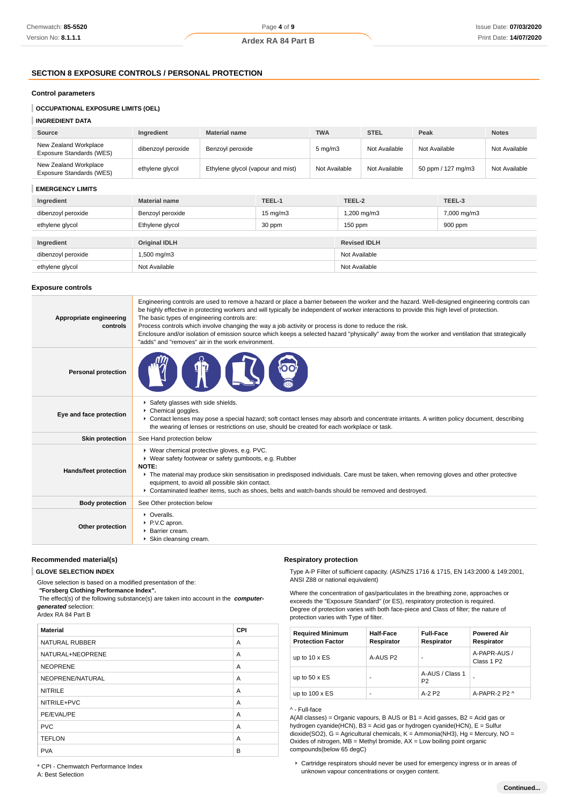# **SECTION 8 EXPOSURE CONTROLS / PERSONAL PROTECTION**

#### **Control parameters**

# **INGREDIENT DATA**

| Source                                            | Ingredient         | <b>Material name</b>              | <b>TWA</b>       | <b>STEL</b>   | Peak               | <b>Notes</b>  |
|---------------------------------------------------|--------------------|-----------------------------------|------------------|---------------|--------------------|---------------|
| New Zealand Workplace<br>Exposure Standards (WES) | dibenzoyl peroxide | Benzoyl peroxide                  | $5 \text{ mg/m}$ | Not Available | Not Available      | Not Available |
| New Zealand Workplace<br>Exposure Standards (WES) | ethylene glycol    | Ethylene glycol (vapour and mist) | Not Available    | Not Available | 50 ppm / 127 mg/m3 | Not Available |

## **EMERGENCY LIMITS**

| Ingredient         | <b>Material name</b> | TEEL-1            | TEEL-2              | TEEL-3      |
|--------------------|----------------------|-------------------|---------------------|-------------|
| dibenzoyl peroxide | Benzoyl peroxide     | $15 \text{ mg/m}$ | 1,200 mg/m3         | 7,000 mg/m3 |
| ethylene glycol    | Ethylene glycol      | 30 ppm            | $150$ ppm           | 900 ppm     |
|                    |                      |                   |                     |             |
| Ingredient         | <b>Original IDLH</b> |                   | <b>Revised IDLH</b> |             |
| dibenzoyl peroxide | 1,500 mg/m3          |                   | Not Available       |             |
| ethylene glycol    | Not Available        |                   | Not Available       |             |

#### **Exposure controls**

| Appropriate engineering<br>controls | Engineering controls are used to remove a hazard or place a barrier between the worker and the hazard. Well-designed engineering controls can<br>be highly effective in protecting workers and will typically be independent of worker interactions to provide this high level of protection.<br>The basic types of engineering controls are:<br>Process controls which involve changing the way a job activity or process is done to reduce the risk.<br>Enclosure and/or isolation of emission source which keeps a selected hazard "physically" away from the worker and ventilation that strategically<br>"adds" and "removes" air in the work environment. |
|-------------------------------------|-----------------------------------------------------------------------------------------------------------------------------------------------------------------------------------------------------------------------------------------------------------------------------------------------------------------------------------------------------------------------------------------------------------------------------------------------------------------------------------------------------------------------------------------------------------------------------------------------------------------------------------------------------------------|
| <b>Personal protection</b>          |                                                                                                                                                                                                                                                                                                                                                                                                                                                                                                                                                                                                                                                                 |
| Eye and face protection             | Safety glasses with side shields.<br>Chemical goggles.<br>▶ Contact lenses may pose a special hazard; soft contact lenses may absorb and concentrate irritants. A written policy document, describing<br>the wearing of lenses or restrictions on use, should be created for each workplace or task.                                                                                                                                                                                                                                                                                                                                                            |
| <b>Skin protection</b>              | See Hand protection below                                                                                                                                                                                                                                                                                                                                                                                                                                                                                                                                                                                                                                       |
| Hands/feet protection               | ▶ Wear chemical protective gloves, e.g. PVC.<br>▶ Wear safety footwear or safety gumboots, e.g. Rubber<br>NOTE:<br>The material may produce skin sensitisation in predisposed individuals. Care must be taken, when removing gloves and other protective<br>equipment, to avoid all possible skin contact.<br>▶ Contaminated leather items, such as shoes, belts and watch-bands should be removed and destroyed.                                                                                                                                                                                                                                               |
| <b>Body protection</b>              | See Other protection below                                                                                                                                                                                                                                                                                                                                                                                                                                                                                                                                                                                                                                      |
| Other protection                    | • Overalls.<br>▶ P.V.C apron.<br>▶ Barrier cream.<br>▶ Skin cleansing cream.                                                                                                                                                                                                                                                                                                                                                                                                                                                                                                                                                                                    |

## **Recommended material(s)**

#### **GLOVE SELECTION INDEX**

Glove selection is based on a modified presentation of the:

 **"Forsberg Clothing Performance Index".**

 The effect(s) of the following substance(s) are taken into account in the **computergenerated** selection: Ardex RA 84 Part B

| <b>Material</b><br>CPI     |  |
|----------------------------|--|
|                            |  |
| <b>NATURAL RUBBER</b><br>A |  |
| NATURAL+NEOPRENE<br>A      |  |
| <b>NEOPRENE</b><br>A       |  |
| NEOPRENE/NATURAL<br>A      |  |
| <b>NITRILE</b><br>A        |  |
| NITRILE+PVC<br>A           |  |
| PE/EVAL/PE<br>A            |  |
| <b>PVC</b><br>A            |  |
| <b>TEFLON</b><br>A         |  |
| <b>PVA</b><br>B            |  |

## **Respiratory protection**

Type A-P Filter of sufficient capacity. (AS/NZS 1716 & 1715, EN 143:2000 & 149:2001, ANSI Z88 or national equivalent)

Where the concentration of gas/particulates in the breathing zone, approaches or exceeds the "Exposure Standard" (or ES), respiratory protection is required. Degree of protection varies with both face-piece and Class of filter; the nature of protection varies with Type of filter.

| <b>Required Minimum</b><br><b>Protection Factor</b> | <b>Half-Face</b><br>Respirator | <b>Full-Face</b><br>Respirator    | <b>Powered Air</b><br>Respirator       |
|-----------------------------------------------------|--------------------------------|-----------------------------------|----------------------------------------|
| up to $10 \times ES$                                | A-AUS P2                       |                                   | A-PAPR-AUS /<br>Class 1 P <sub>2</sub> |
| up to $50 \times ES$                                |                                | A-AUS / Class 1<br>P <sub>2</sub> |                                        |
| up to $100 \times ES$                               | ۰                              | $A-2$ P <sub>2</sub>              | A-PAPR-2 P2 $\land$                    |

#### ^ - Full-face

A(All classes) = Organic vapours, B AUS or B1 = Acid gasses, B2 = Acid gas or hydrogen cyanide(HCN), B3 = Acid gas or hydrogen cyanide(HCN), E = Sulfur dioxide(SO2), G = Agricultural chemicals, K = Ammonia(NH3), Hg = Mercury, NO = Oxides of nitrogen, MB = Methyl bromide, AX = Low boiling point organic compounds(below 65 degC)

A: Best Selection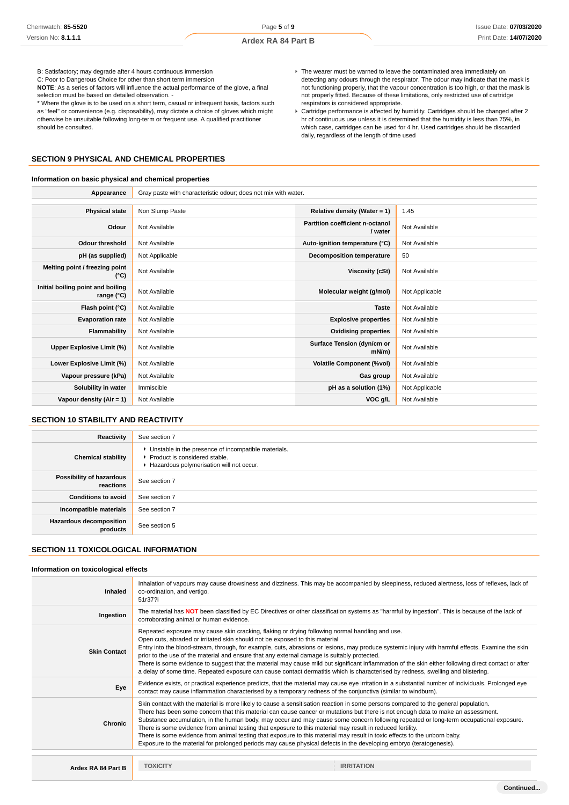B: Satisfactory; may degrade after 4 hours continuous immersion

C: Poor to Dangerous Choice for other than short term immersion **NOTE**: As a series of factors will influence the actual performance of the glove, a final

selection must be based on detailed observation. -

\* Where the glove is to be used on a short term, casual or infrequent basis, factors such as "feel" or convenience (e.g. disposability), may dictate a choice of gloves which might otherwise be unsuitable following long-term or frequent use. A qualified practitioner should be consulted.

# **SECTION 9 PHYSICAL AND CHEMICAL PROPERTIES**

#### **Information on basic physical and chemical properties**

- The wearer must be warned to leave the contaminated area immediately on detecting any odours through the respirator. The odour may indicate that the mask is not functioning properly, that the vapour concentration is too high, or that the mask is not properly fitted. Because of these limitations, only restricted use of cartridge respirators is considered appropriate.
- Cartridge performance is affected by humidity. Cartridges should be changed after 2 hr of continuous use unless it is determined that the humidity is less than 75%, in which case, cartridges can be used for 4 hr. Used cartridges should be discarded daily, regardless of the length of time used

| Appearance                                      | Gray paste with characteristic odour; does not mix with water. |                                                   |                |
|-------------------------------------------------|----------------------------------------------------------------|---------------------------------------------------|----------------|
|                                                 |                                                                |                                                   |                |
| <b>Physical state</b>                           | Non Slump Paste                                                | Relative density (Water = $1$ )                   | 1.45           |
| Odour                                           | Not Available                                                  | <b>Partition coefficient n-octanol</b><br>/ water | Not Available  |
| Odour threshold                                 | Not Available                                                  | Auto-ignition temperature (°C)                    | Not Available  |
| pH (as supplied)                                | Not Applicable                                                 | Decomposition temperature                         | 50             |
| Melting point / freezing point<br>(°C)          | Not Available                                                  | Viscosity (cSt)                                   | Not Available  |
| Initial boiling point and boiling<br>range (°C) | Not Available                                                  | Molecular weight (g/mol)                          | Not Applicable |
| Flash point (°C)                                | Not Available                                                  | <b>Taste</b>                                      | Not Available  |
| <b>Evaporation rate</b>                         | Not Available                                                  | <b>Explosive properties</b>                       | Not Available  |
| Flammability                                    | Not Available                                                  | <b>Oxidising properties</b>                       | Not Available  |
| Upper Explosive Limit (%)                       | Not Available                                                  | Surface Tension (dyn/cm or<br>$mN/m$ )            | Not Available  |
| Lower Explosive Limit (%)                       | Not Available                                                  | <b>Volatile Component (%vol)</b>                  | Not Available  |
| Vapour pressure (kPa)                           | Not Available                                                  | Gas group                                         | Not Available  |
| Solubility in water                             | Immiscible                                                     | pH as a solution (1%)                             | Not Applicable |
| Vapour density $(Air = 1)$                      | Not Available                                                  | VOC g/L                                           | Not Available  |
|                                                 |                                                                |                                                   |                |

# **SECTION 10 STABILITY AND REACTIVITY**

| Reactivity                                 | See section 7                                                                                                                        |
|--------------------------------------------|--------------------------------------------------------------------------------------------------------------------------------------|
| <b>Chemical stability</b>                  | • Unstable in the presence of incompatible materials.<br>▶ Product is considered stable.<br>Hazardous polymerisation will not occur. |
| Possibility of hazardous<br>reactions      | See section 7                                                                                                                        |
| <b>Conditions to avoid</b>                 | See section 7                                                                                                                        |
| Incompatible materials                     | See section 7                                                                                                                        |
| <b>Hazardous decomposition</b><br>products | See section 5                                                                                                                        |

# **SECTION 11 TOXICOLOGICAL INFORMATION**

## **Information on toxicological effects**

| Inhalation of vapours may cause drowsiness and dizziness. This may be accompanied by sleepiness, reduced alertness, loss of reflexes, lack of<br>co-ordination, and vertigo.<br><b>Inhaled</b><br>51r37?i<br>The material has NOT been classified by EC Directives or other classification systems as "harmful by ingestion". This is because of the lack of<br>Ingestion<br>corroborating animal or human evidence.<br>Repeated exposure may cause skin cracking, flaking or drying following normal handling and use.<br>Open cuts, abraded or irritated skin should not be exposed to this material<br>Entry into the blood-stream, through, for example, cuts, abrasions or lesions, may produce systemic injury with harmful effects. Examine the skin<br><b>Skin Contact</b><br>prior to the use of the material and ensure that any external damage is suitably protected.<br>There is some evidence to suggest that the material may cause mild but significant inflammation of the skin either following direct contact or after<br>a delay of some time. Repeated exposure can cause contact dermatitis which is characterised by redness, swelling and blistering.<br>Evidence exists, or practical experience predicts, that the material may cause eye irritation in a substantial number of individuals. Prolonged eye<br>Eye<br>contact may cause inflammation characterised by a temporary redness of the conjunctiva (similar to windburn).<br>Skin contact with the material is more likely to cause a sensitisation reaction in some persons compared to the general population.<br>There has been some concern that this material can cause cancer or mutations but there is not enough data to make an assessment.<br>Substance accumulation, in the human body, may occur and may cause some concern following repeated or long-term occupational exposure.<br><b>Chronic</b><br>There is some evidence from animal testing that exposure to this material may result in reduced fertility.<br>There is some evidence from animal testing that exposure to this material may result in toxic effects to the unborn baby.<br>Exposure to the material for prolonged periods may cause physical defects in the developing embryo (teratogenesis).<br><b>TOXICITY</b><br><b>IRRITATION</b><br>Ardex RA 84 Part B |  |  |  |  |
|-------------------------------------------------------------------------------------------------------------------------------------------------------------------------------------------------------------------------------------------------------------------------------------------------------------------------------------------------------------------------------------------------------------------------------------------------------------------------------------------------------------------------------------------------------------------------------------------------------------------------------------------------------------------------------------------------------------------------------------------------------------------------------------------------------------------------------------------------------------------------------------------------------------------------------------------------------------------------------------------------------------------------------------------------------------------------------------------------------------------------------------------------------------------------------------------------------------------------------------------------------------------------------------------------------------------------------------------------------------------------------------------------------------------------------------------------------------------------------------------------------------------------------------------------------------------------------------------------------------------------------------------------------------------------------------------------------------------------------------------------------------------------------------------------------------------------------------------------------------------------------------------------------------------------------------------------------------------------------------------------------------------------------------------------------------------------------------------------------------------------------------------------------------------------------------------------------------------------------------------------------------------------------------------------------------------------------------|--|--|--|--|
|                                                                                                                                                                                                                                                                                                                                                                                                                                                                                                                                                                                                                                                                                                                                                                                                                                                                                                                                                                                                                                                                                                                                                                                                                                                                                                                                                                                                                                                                                                                                                                                                                                                                                                                                                                                                                                                                                                                                                                                                                                                                                                                                                                                                                                                                                                                                     |  |  |  |  |
|                                                                                                                                                                                                                                                                                                                                                                                                                                                                                                                                                                                                                                                                                                                                                                                                                                                                                                                                                                                                                                                                                                                                                                                                                                                                                                                                                                                                                                                                                                                                                                                                                                                                                                                                                                                                                                                                                                                                                                                                                                                                                                                                                                                                                                                                                                                                     |  |  |  |  |
|                                                                                                                                                                                                                                                                                                                                                                                                                                                                                                                                                                                                                                                                                                                                                                                                                                                                                                                                                                                                                                                                                                                                                                                                                                                                                                                                                                                                                                                                                                                                                                                                                                                                                                                                                                                                                                                                                                                                                                                                                                                                                                                                                                                                                                                                                                                                     |  |  |  |  |
|                                                                                                                                                                                                                                                                                                                                                                                                                                                                                                                                                                                                                                                                                                                                                                                                                                                                                                                                                                                                                                                                                                                                                                                                                                                                                                                                                                                                                                                                                                                                                                                                                                                                                                                                                                                                                                                                                                                                                                                                                                                                                                                                                                                                                                                                                                                                     |  |  |  |  |
|                                                                                                                                                                                                                                                                                                                                                                                                                                                                                                                                                                                                                                                                                                                                                                                                                                                                                                                                                                                                                                                                                                                                                                                                                                                                                                                                                                                                                                                                                                                                                                                                                                                                                                                                                                                                                                                                                                                                                                                                                                                                                                                                                                                                                                                                                                                                     |  |  |  |  |
|                                                                                                                                                                                                                                                                                                                                                                                                                                                                                                                                                                                                                                                                                                                                                                                                                                                                                                                                                                                                                                                                                                                                                                                                                                                                                                                                                                                                                                                                                                                                                                                                                                                                                                                                                                                                                                                                                                                                                                                                                                                                                                                                                                                                                                                                                                                                     |  |  |  |  |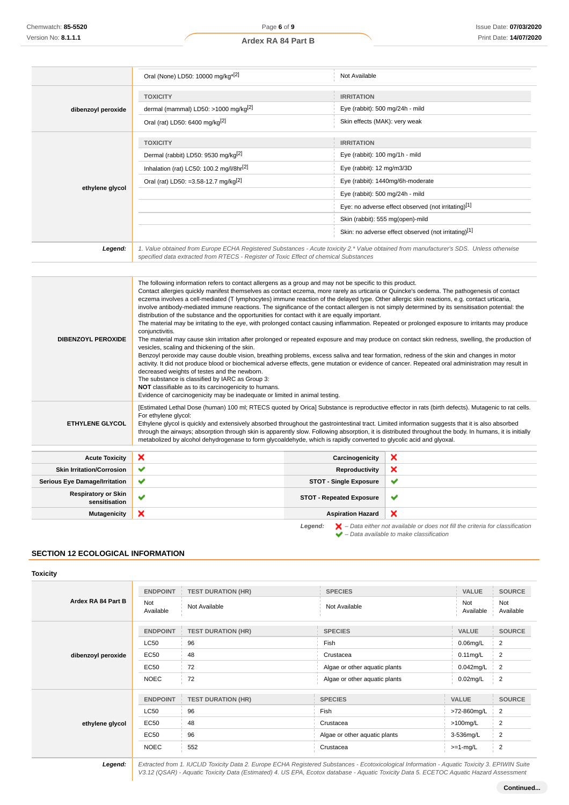$\blacksquare$ 

|                                             | Oral (None) LD50: 10000 mg/kg <sup>*[2]</sup>                                                                                                                                                                                                                                                                                                                                                                                                                                                                                                                                                                                                                                                                                                                                                                                                                                                                                                                                                                                                                                                                                                                                                                                                                                                                                                                                                                                                                                                                                                                                         | Not Available                    |                                                                                                                                                                     |  |
|---------------------------------------------|---------------------------------------------------------------------------------------------------------------------------------------------------------------------------------------------------------------------------------------------------------------------------------------------------------------------------------------------------------------------------------------------------------------------------------------------------------------------------------------------------------------------------------------------------------------------------------------------------------------------------------------------------------------------------------------------------------------------------------------------------------------------------------------------------------------------------------------------------------------------------------------------------------------------------------------------------------------------------------------------------------------------------------------------------------------------------------------------------------------------------------------------------------------------------------------------------------------------------------------------------------------------------------------------------------------------------------------------------------------------------------------------------------------------------------------------------------------------------------------------------------------------------------------------------------------------------------------|----------------------------------|---------------------------------------------------------------------------------------------------------------------------------------------------------------------|--|
|                                             | <b>TOXICITY</b>                                                                                                                                                                                                                                                                                                                                                                                                                                                                                                                                                                                                                                                                                                                                                                                                                                                                                                                                                                                                                                                                                                                                                                                                                                                                                                                                                                                                                                                                                                                                                                       | <b>IRRITATION</b>                |                                                                                                                                                                     |  |
| dibenzoyl peroxide                          | dermal (mammal) LD50: >1000 mg/kg <sup>[2]</sup>                                                                                                                                                                                                                                                                                                                                                                                                                                                                                                                                                                                                                                                                                                                                                                                                                                                                                                                                                                                                                                                                                                                                                                                                                                                                                                                                                                                                                                                                                                                                      | Eye (rabbit): 500 mg/24h - mild  |                                                                                                                                                                     |  |
|                                             | Oral (rat) LD50: 6400 mg/kg[2]                                                                                                                                                                                                                                                                                                                                                                                                                                                                                                                                                                                                                                                                                                                                                                                                                                                                                                                                                                                                                                                                                                                                                                                                                                                                                                                                                                                                                                                                                                                                                        | Skin effects (MAK): very weak    |                                                                                                                                                                     |  |
|                                             | <b>TOXICITY</b>                                                                                                                                                                                                                                                                                                                                                                                                                                                                                                                                                                                                                                                                                                                                                                                                                                                                                                                                                                                                                                                                                                                                                                                                                                                                                                                                                                                                                                                                                                                                                                       | <b>IRRITATION</b>                |                                                                                                                                                                     |  |
|                                             | Dermal (rabbit) LD50: 9530 mg/kg <sup>[2]</sup>                                                                                                                                                                                                                                                                                                                                                                                                                                                                                                                                                                                                                                                                                                                                                                                                                                                                                                                                                                                                                                                                                                                                                                                                                                                                                                                                                                                                                                                                                                                                       | Eye (rabbit): 100 mg/1h - mild   |                                                                                                                                                                     |  |
|                                             | Inhalation (rat) LC50: 100.2 mg/l/8hr <sup>[2]</sup>                                                                                                                                                                                                                                                                                                                                                                                                                                                                                                                                                                                                                                                                                                                                                                                                                                                                                                                                                                                                                                                                                                                                                                                                                                                                                                                                                                                                                                                                                                                                  | Eye (rabbit): 12 mg/m3/3D        |                                                                                                                                                                     |  |
|                                             | Oral (rat) LD50: =3.58-12.7 mg/kg <sup>[2]</sup>                                                                                                                                                                                                                                                                                                                                                                                                                                                                                                                                                                                                                                                                                                                                                                                                                                                                                                                                                                                                                                                                                                                                                                                                                                                                                                                                                                                                                                                                                                                                      |                                  | Eye (rabbit): 1440mg/6h-moderate                                                                                                                                    |  |
| ethylene glycol                             |                                                                                                                                                                                                                                                                                                                                                                                                                                                                                                                                                                                                                                                                                                                                                                                                                                                                                                                                                                                                                                                                                                                                                                                                                                                                                                                                                                                                                                                                                                                                                                                       |                                  | Eye (rabbit): 500 mg/24h - mild                                                                                                                                     |  |
|                                             |                                                                                                                                                                                                                                                                                                                                                                                                                                                                                                                                                                                                                                                                                                                                                                                                                                                                                                                                                                                                                                                                                                                                                                                                                                                                                                                                                                                                                                                                                                                                                                                       |                                  | Eye: no adverse effect observed (not irritating)[1]                                                                                                                 |  |
|                                             |                                                                                                                                                                                                                                                                                                                                                                                                                                                                                                                                                                                                                                                                                                                                                                                                                                                                                                                                                                                                                                                                                                                                                                                                                                                                                                                                                                                                                                                                                                                                                                                       | Skin (rabbit): 555 mg(open)-mild |                                                                                                                                                                     |  |
|                                             |                                                                                                                                                                                                                                                                                                                                                                                                                                                                                                                                                                                                                                                                                                                                                                                                                                                                                                                                                                                                                                                                                                                                                                                                                                                                                                                                                                                                                                                                                                                                                                                       |                                  | Skin: no adverse effect observed (not irritating)[1]                                                                                                                |  |
| Legend:                                     | 1. Value obtained from Europe ECHA Registered Substances - Acute toxicity 2.* Value obtained from manufacturer's SDS. Unless otherwise<br>specified data extracted from RTECS - Register of Toxic Effect of chemical Substances                                                                                                                                                                                                                                                                                                                                                                                                                                                                                                                                                                                                                                                                                                                                                                                                                                                                                                                                                                                                                                                                                                                                                                                                                                                                                                                                                       |                                  |                                                                                                                                                                     |  |
|                                             |                                                                                                                                                                                                                                                                                                                                                                                                                                                                                                                                                                                                                                                                                                                                                                                                                                                                                                                                                                                                                                                                                                                                                                                                                                                                                                                                                                                                                                                                                                                                                                                       |                                  |                                                                                                                                                                     |  |
| <b>DIBENZOYL PEROXIDE</b>                   | The following information refers to contact allergens as a group and may not be specific to this product.<br>Contact allergies quickly manifest themselves as contact eczema, more rarely as urticaria or Quincke's oedema. The pathogenesis of contact<br>eczema involves a cell-mediated (T lymphocytes) immune reaction of the delayed type. Other allergic skin reactions, e.g. contact urticaria,<br>involve antibody-mediated immune reactions. The significance of the contact allergen is not simply determined by its sensitisation potential: the<br>distribution of the substance and the opportunities for contact with it are equally important.<br>The material may be irritating to the eye, with prolonged contact causing inflammation. Repeated or prolonged exposure to irritants may produce<br>conjunctivitis.<br>The material may cause skin irritation after prolonged or repeated exposure and may produce on contact skin redness, swelling, the production of<br>vesicles, scaling and thickening of the skin.<br>Benzoyl peroxide may cause double vision, breathing problems, excess saliva and tear formation, redness of the skin and changes in motor<br>activity. It did not produce blood or biochemical adverse effects, gene mutation or evidence of cancer. Repeated oral administration may result in<br>decreased weights of testes and the newborn.<br>The substance is classified by IARC as Group 3:<br>NOT classifiable as to its carcinogenicity to humans.<br>Evidence of carcinogenicity may be inadequate or limited in animal testing. |                                  |                                                                                                                                                                     |  |
| ETHYLENE GLYCOL                             | [Estimated Lethal Dose (human) 100 ml; RTECS quoted by Orica] Substance is reproductive effector in rats (birth defects). Mutagenic to rat cells.<br>For ethylene glycol:<br>Ethylene glycol is quickly and extensively absorbed throughout the gastrointestinal tract. Limited information suggests that it is also absorbed<br>through the airways; absorption through skin is apparently slow. Following absorption, it is distributed throughout the body. In humans, it is initially<br>metabolized by alcohol dehydrogenase to form glycoaldehyde, which is rapidly converted to glycolic acid and glyoxal.                                                                                                                                                                                                                                                                                                                                                                                                                                                                                                                                                                                                                                                                                                                                                                                                                                                                                                                                                                     |                                  |                                                                                                                                                                     |  |
| <b>Acute Toxicity</b>                       | ×                                                                                                                                                                                                                                                                                                                                                                                                                                                                                                                                                                                                                                                                                                                                                                                                                                                                                                                                                                                                                                                                                                                                                                                                                                                                                                                                                                                                                                                                                                                                                                                     | Carcinogenicity                  | ×                                                                                                                                                                   |  |
| <b>Skin Irritation/Corrosion</b>            | ✔                                                                                                                                                                                                                                                                                                                                                                                                                                                                                                                                                                                                                                                                                                                                                                                                                                                                                                                                                                                                                                                                                                                                                                                                                                                                                                                                                                                                                                                                                                                                                                                     | <b>Reproductivity</b>            | ×                                                                                                                                                                   |  |
| <b>Serious Eye Damage/Irritation</b>        | ✔                                                                                                                                                                                                                                                                                                                                                                                                                                                                                                                                                                                                                                                                                                                                                                                                                                                                                                                                                                                                                                                                                                                                                                                                                                                                                                                                                                                                                                                                                                                                                                                     | <b>STOT - Single Exposure</b>    | ✔                                                                                                                                                                   |  |
| <b>Respiratory or Skin</b><br>sensitisation | ✔                                                                                                                                                                                                                                                                                                                                                                                                                                                                                                                                                                                                                                                                                                                                                                                                                                                                                                                                                                                                                                                                                                                                                                                                                                                                                                                                                                                                                                                                                                                                                                                     | <b>STOT - Repeated Exposure</b>  | ✔                                                                                                                                                                   |  |
| <b>Mutagenicity</b>                         | ×                                                                                                                                                                                                                                                                                                                                                                                                                                                                                                                                                                                                                                                                                                                                                                                                                                                                                                                                                                                                                                                                                                                                                                                                                                                                                                                                                                                                                                                                                                                                                                                     | <b>Aspiration Hazard</b>         | ×                                                                                                                                                                   |  |
|                                             |                                                                                                                                                                                                                                                                                                                                                                                                                                                                                                                                                                                                                                                                                                                                                                                                                                                                                                                                                                                                                                                                                                                                                                                                                                                                                                                                                                                                                                                                                                                                                                                       | Legend:                          | $\blacktriangleright$ – Data either not available or does not fill the criteria for classification<br>$\blacktriangleright$ - Data available to make classification |  |

# **SECTION 12 ECOLOGICAL INFORMATION**

# **Toxicity**

| Ardex RA 84 Part B | <b>ENDPOINT</b><br>Not<br>Available | <b>TEST DURATION (HR)</b><br>Not Available | <b>SPECIES</b><br>Not Available | <b>VALUE</b><br>Not<br>Available | <b>SOURCE</b><br>Not<br>Available |
|--------------------|-------------------------------------|--------------------------------------------|---------------------------------|----------------------------------|-----------------------------------|
|                    | <b>ENDPOINT</b>                     | <b>TEST DURATION (HR)</b>                  | <b>SPECIES</b>                  | <b>VALUE</b>                     | <b>SOURCE</b>                     |
|                    | <b>LC50</b>                         | 96                                         | Fish                            | $0.06$ mg/L                      | $\overline{2}$                    |
| dibenzoyl peroxide | <b>EC50</b>                         | 48                                         | Crustacea                       | $0.11$ mg/L                      | $\overline{2}$                    |
|                    | <b>EC50</b>                         | 72                                         | Algae or other aquatic plants   | $0.042$ mg/L                     | $\overline{2}$                    |
|                    | <b>NOEC</b>                         | 72                                         | Algae or other aquatic plants   | $0.02$ mg/L                      | $\overline{2}$                    |
|                    |                                     |                                            |                                 |                                  |                                   |
|                    | <b>ENDPOINT</b>                     | <b>TEST DURATION (HR)</b>                  | <b>SPECIES</b>                  | <b>VALUE</b>                     | <b>SOURCE</b>                     |
| ethylene glycol    | <b>LC50</b>                         | 96                                         | Fish                            | >72-860mg/L                      | $\overline{2}$                    |
|                    | <b>EC50</b>                         | 48                                         | Crustacea                       | $>100$ mg/L                      | $\overline{2}$                    |
|                    | <b>EC50</b>                         | 96                                         | Algae or other aquatic plants   | 3-536mg/L                        | $\overline{2}$                    |
|                    | <b>NOEC</b>                         | 552                                        | Crustacea                       | $>=1$ -mg/L                      | $\overline{2}$                    |
|                    |                                     |                                            |                                 |                                  |                                   |

**Legend:** Extracted from 1. IUCLID Toxicity Data 2. Europe ECHA Registered Substances - Ecotoxicological Information - Aquatic Toxicity 3. EPIWIN Suite V3.12 (QSAR) - Aquatic Toxicity Data (Estimated) 4. US EPA, Ecotox database - Aquatic Toxicity Data 5. ECETOC Aquatic Hazard Assessment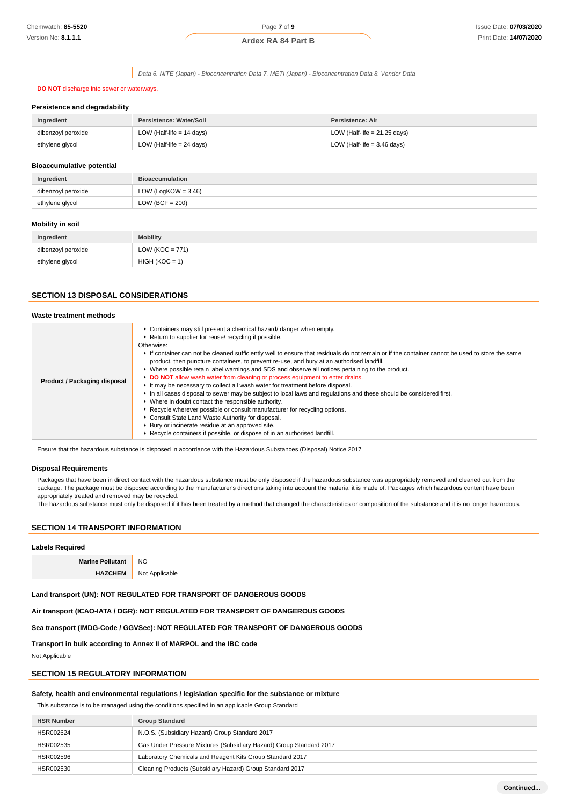Data 6. NITE (Japan) - Bioconcentration Data 7. METI (Japan) - Bioconcentration Data 8. Vendor Data

## **DO NOT** discharge into sewer or waterways.

#### **Persistence and degradability**

| Ingredient         | Persistence: Water/Soil   | Persistence: Air               |
|--------------------|---------------------------|--------------------------------|
| dibenzoyl peroxide | LOW (Half-life = 14 days) | LOW (Half-life = $21.25$ days) |
| ethylene glycol    | LOW (Half-life = 24 days) | LOW (Half-life $=$ 3.46 days)  |

#### **Bioaccumulative potential**

| Ingredient         | <b>Bioaccumulation</b> |
|--------------------|------------------------|
| dibenzoyl peroxide | LOW (LogKOW = $3.46$ ) |
| ethylene glycol    | LOW (BCF = $200$ )     |
|                    |                        |

## **Mobility in soil**

| Ingredient         | <b>Mobility</b>     |
|--------------------|---------------------|
| dibenzoyl peroxide | LOW ( $KOC = 771$ ) |
| ethylene glycol    | $HIGH (KOC = 1)$    |

# **SECTION 13 DISPOSAL CONSIDERATIONS**

| Waste treatment methods      |                                                                                                                                                                                                                                                                                                                                                                                                                                                                                                                                                                                                                                                                                                                                                                                                                                                                                                                                                                                                                                                                                                                 |
|------------------------------|-----------------------------------------------------------------------------------------------------------------------------------------------------------------------------------------------------------------------------------------------------------------------------------------------------------------------------------------------------------------------------------------------------------------------------------------------------------------------------------------------------------------------------------------------------------------------------------------------------------------------------------------------------------------------------------------------------------------------------------------------------------------------------------------------------------------------------------------------------------------------------------------------------------------------------------------------------------------------------------------------------------------------------------------------------------------------------------------------------------------|
| Product / Packaging disposal | • Containers may still present a chemical hazard/ danger when empty.<br>▶ Return to supplier for reuse/ recycling if possible.<br>Otherwise:<br>If container can not be cleaned sufficiently well to ensure that residuals do not remain or if the container cannot be used to store the same<br>product, then puncture containers, to prevent re-use, and bury at an authorised landfill.<br>► Where possible retain label warnings and SDS and observe all notices pertaining to the product.<br>DO NOT allow wash water from cleaning or process equipment to enter drains.<br>It may be necessary to collect all wash water for treatment before disposal.<br>In all cases disposal to sewer may be subject to local laws and regulations and these should be considered first.<br>• Where in doubt contact the responsible authority.<br>▶ Recycle wherever possible or consult manufacturer for recycling options.<br>Consult State Land Waste Authority for disposal.<br>▶ Bury or incinerate residue at an approved site.<br>▶ Recycle containers if possible, or dispose of in an authorised landfill. |

Ensure that the hazardous substance is disposed in accordance with the Hazardous Substances (Disposal) Notice 2017

#### **Disposal Requirements**

Packages that have been in direct contact with the hazardous substance must be only disposed if the hazardous substance was appropriately removed and cleaned out from the package. The package must be disposed according to the manufacturer's directions taking into account the material it is made of. Packages which hazardous content have been appropriately treated and removed may be recycled.

The hazardous substance must only be disposed if it has been treated by a method that changed the characteristics or composition of the substance and it is no longer hazardous.

# **SECTION 14 TRANSPORT INFORMATION**

#### **Labels Required**

| the contract of the contract of | <b>NO</b>  |
|---------------------------------|------------|
|                                 | No<br>ahle |

#### **Land transport (UN): NOT REGULATED FOR TRANSPORT OF DANGEROUS GOODS**

**Air transport (ICAO-IATA / DGR): NOT REGULATED FOR TRANSPORT OF DANGEROUS GOODS**

**Sea transport (IMDG-Code / GGVSee): NOT REGULATED FOR TRANSPORT OF DANGEROUS GOODS**

**Transport in bulk according to Annex II of MARPOL and the IBC code**

Not Applicable

# **SECTION 15 REGULATORY INFORMATION**

## **Safety, health and environmental regulations / legislation specific for the substance or mixture**

This substance is to be managed using the conditions specified in an applicable Group Standard

| <b>HSR Number</b> | <b>Group Standard</b>                                               |
|-------------------|---------------------------------------------------------------------|
| HSR002624         | N.O.S. (Subsidiary Hazard) Group Standard 2017                      |
| HSR002535         | Gas Under Pressure Mixtures (Subsidiary Hazard) Group Standard 2017 |
| HSR002596         | Laboratory Chemicals and Reagent Kits Group Standard 2017           |
| HSR002530         | Cleaning Products (Subsidiary Hazard) Group Standard 2017           |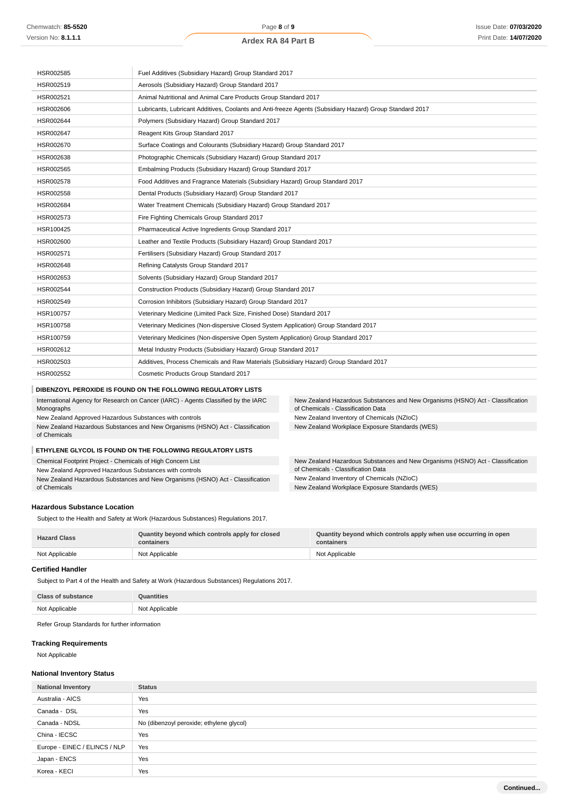# **Ardex RA 84 Part B**

| HSR002585                                                                                        | Fuel Additives (Subsidiary Hazard) Group Standard 2017                                                   |                                                                                                                      |  |
|--------------------------------------------------------------------------------------------------|----------------------------------------------------------------------------------------------------------|----------------------------------------------------------------------------------------------------------------------|--|
| HSR002519                                                                                        | Aerosols (Subsidiary Hazard) Group Standard 2017                                                         |                                                                                                                      |  |
| HSR002521                                                                                        | Animal Nutritional and Animal Care Products Group Standard 2017                                          |                                                                                                                      |  |
| HSR002606                                                                                        | Lubricants, Lubricant Additives, Coolants and Anti-freeze Agents (Subsidiary Hazard) Group Standard 2017 |                                                                                                                      |  |
| HSR002644                                                                                        | Polymers (Subsidiary Hazard) Group Standard 2017                                                         |                                                                                                                      |  |
| HSR002647                                                                                        | Reagent Kits Group Standard 2017                                                                         |                                                                                                                      |  |
| HSR002670                                                                                        | Surface Coatings and Colourants (Subsidiary Hazard) Group Standard 2017                                  |                                                                                                                      |  |
| HSR002638                                                                                        | Photographic Chemicals (Subsidiary Hazard) Group Standard 2017                                           |                                                                                                                      |  |
| HSR002565                                                                                        | Embalming Products (Subsidiary Hazard) Group Standard 2017                                               |                                                                                                                      |  |
| HSR002578                                                                                        | Food Additives and Fragrance Materials (Subsidiary Hazard) Group Standard 2017                           |                                                                                                                      |  |
| HSR002558                                                                                        | Dental Products (Subsidiary Hazard) Group Standard 2017                                                  |                                                                                                                      |  |
| HSR002684                                                                                        | Water Treatment Chemicals (Subsidiary Hazard) Group Standard 2017                                        |                                                                                                                      |  |
| HSR002573                                                                                        | Fire Fighting Chemicals Group Standard 2017                                                              |                                                                                                                      |  |
| HSR100425                                                                                        |                                                                                                          | Pharmaceutical Active Ingredients Group Standard 2017                                                                |  |
| HSR002600                                                                                        | Leather and Textile Products (Subsidiary Hazard) Group Standard 2017                                     |                                                                                                                      |  |
| HSR002571                                                                                        | Fertilisers (Subsidiary Hazard) Group Standard 2017                                                      |                                                                                                                      |  |
| HSR002648                                                                                        | Refining Catalysts Group Standard 2017                                                                   |                                                                                                                      |  |
| HSR002653                                                                                        | Solvents (Subsidiary Hazard) Group Standard 2017                                                         |                                                                                                                      |  |
| HSR002544                                                                                        | Construction Products (Subsidiary Hazard) Group Standard 2017                                            |                                                                                                                      |  |
| HSR002549                                                                                        | Corrosion Inhibitors (Subsidiary Hazard) Group Standard 2017                                             |                                                                                                                      |  |
| HSR100757                                                                                        | Veterinary Medicine (Limited Pack Size, Finished Dose) Standard 2017                                     |                                                                                                                      |  |
| HSR100758                                                                                        | Veterinary Medicines (Non-dispersive Closed System Application) Group Standard 2017                      |                                                                                                                      |  |
| HSR100759                                                                                        | Veterinary Medicines (Non-dispersive Open System Application) Group Standard 2017                        |                                                                                                                      |  |
| HSR002612                                                                                        | Metal Industry Products (Subsidiary Hazard) Group Standard 2017                                          |                                                                                                                      |  |
| HSR002503                                                                                        | Additives, Process Chemicals and Raw Materials (Subsidiary Hazard) Group Standard 2017                   |                                                                                                                      |  |
| HSR002552                                                                                        | Cosmetic Products Group Standard 2017                                                                    |                                                                                                                      |  |
|                                                                                                  | DIBENZOYL PEROXIDE IS FOUND ON THE FOLLOWING REGULATORY LISTS                                            |                                                                                                                      |  |
| International Agency for Research on Cancer (IARC) - Agents Classified by the IARC<br>Monographs |                                                                                                          | New Zealand Hazardous Substances and New Organisms (HSNO) Act - Classification<br>of Chemicals - Classification Data |  |
| New Zealand Approved Hazardous Substances with controls                                          |                                                                                                          | New Zealand Inventory of Chemicals (NZIoC)                                                                           |  |
| New Zealand Hazardous Substances and New Organisms (HSNO) Act - Classification<br>of Chemicals   |                                                                                                          | New Zealand Workplace Exposure Standards (WES)                                                                       |  |

#### **ETHYLENE GLYCOL IS FOUND ON THE FOLLOWING REGULATORY LISTS**

Chemical Footprint Project - Chemicals of High Concern List

New Zealand Approved Hazardous Substances with controls

New Zealand Hazardous Substances and New Organisms (HSNO) Act - Classification of Chemicals

## **Hazardous Substance Location**

Subject to the Health and Safety at Work (Hazardous Substances) Regulations 2017.

| <b>Hazard Class</b> | Quantity beyond which controls apply for closed<br>containers | Quantity beyond which controls apply when use occurring in open<br>containers |
|---------------------|---------------------------------------------------------------|-------------------------------------------------------------------------------|
| Not Applicable      | Not Applicable                                                | Not Applicable                                                                |

of Chemicals - Classification Data New Zealand Inventory of Chemicals (NZIoC) New Zealand Workplace Exposure Standards (WES)

New Zealand Hazardous Substances and New Organisms (HSNO) Act - Classification

## **Certified Handler**

Subject to Part 4 of the Health and Safety at Work (Hazardous Substances) Regulations 2017.

| <b>Class of substance</b> | antities       |
|---------------------------|----------------|
| Not Applicable            | Not Applicable |

Refer Group Standards for further information

# **Tracking Requirements**

Not Applicable

# **National Inventory Status**

| <b>National Inventory</b>     | <b>Status</b>                            |
|-------------------------------|------------------------------------------|
| Australia - AICS              | Yes                                      |
| Canada - DSL                  | Yes                                      |
| Canada - NDSL                 | No (dibenzoyl peroxide; ethylene glycol) |
| China - IECSC                 | Yes                                      |
| Europe - EINEC / ELINCS / NLP | Yes                                      |
| Japan - ENCS                  | Yes                                      |
| Korea - KECI                  | Yes                                      |